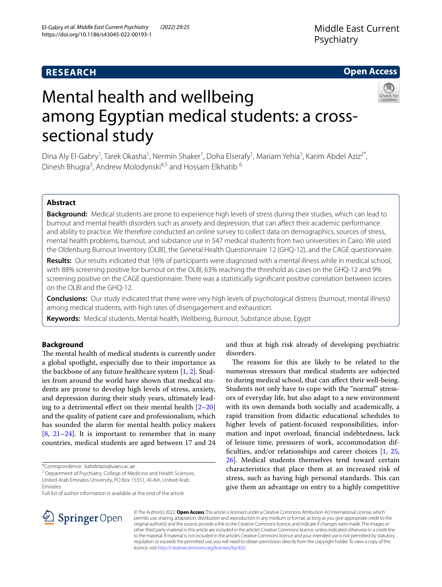# **RESEARCH**

# **Open Access**



Dina Aly El-Gabry<sup>1</sup>, Tarek Okasha<sup>1</sup>, Nermin Shaker<sup>1</sup>, Doha Elserafy<sup>1</sup>, Mariam Yehia<sup>1</sup>, Karim Abdel Aziz<sup>2\*</sup>, Dinesh Bhugra<sup>3</sup>, Andrew Molodynski<sup>4,5</sup> and Hossam Elkhatib<sup>6</sup>

# **Abstract**

**Background:** Medical students are prone to experience high levels of stress during their studies, which can lead to burnout and mental health disorders such as anxiety and depression, that can afect their academic performance and ability to practice. We therefore conducted an online survey to collect data on demographics, sources of stress, mental health problems, burnout, and substance use in 547 medical students from two universities in Cairo. We used the Oldenburg Burnout Inventory (OLBI), the General Health Questionnaire 12 (GHQ-12), and the CAGE questionnaire.

**Results:** Our results indicated that 16% of participants were diagnosed with a mental illness while in medical school, with 88% screening positive for burnout on the OLBI, 63% reaching the threshold as cases on the GHQ-12 and 9% screening positive on the CAGE questionnaire. There was a statistically signifcant positive correlation between scores on the OLBI and the GHQ-12.

**Conclusions:** Our study indicated that there were very high levels of psychological distress (burnout, mental illness) among medical students, with high rates of disengagement and exhaustion.

**Keywords:** Medical students, Mental health, Wellbeing, Burnout, Substance abuse, Egypt

# **Background**

The mental health of medical students is currently under a global spotlight, especially due to their importance as the backbone of any future healthcare system [\[1](#page-4-0), [2\]](#page-4-1). Studies from around the world have shown that medical students are prone to develop high levels of stress, anxiety, and depression during their study years, ultimately leading to a detrimental effect on their mental health  $[2-20]$  $[2-20]$  $[2-20]$ and the quality of patient care and professionalism, which has sounded the alarm for mental health policy makers  $[8, 21-24]$  $[8, 21-24]$  $[8, 21-24]$  $[8, 21-24]$  $[8, 21-24]$ . It is important to remember that in many countries, medical students are aged between 17 and 24

<sup>2</sup> Department of Psychiatry, College of Medicine and Health Sciences, United Arab Emirates University, PO Box 15551, Al‑Ain, United Arab Emirates

Full list of author information is available at the end of the article



The reasons for this are likely to be related to the numerous stressors that medical students are subjected to during medical school, that can afect their well-being. Students not only have to cope with the "normal" stressors of everyday life, but also adapt to a new environment with its own demands both socially and academically, a rapid transition from didactic educational schedules to higher levels of patient-focused responsibilities, information and input overload, fnancial indebtedness, lack of leisure time, pressures of work, accommodation dif-ficulties, and/or relationships and career choices [[1,](#page-4-0) [25](#page-5-1), [26\]](#page-5-2). Medical students themselves tend toward certain characteristics that place them at an increased risk of stress, such as having high personal standards. This can give them an advantage on entry to a highly competitive



© The Author(s) 2022. **Open Access** This article is licensed under a Creative Commons Attribution 4.0 International License, which permits use, sharing, adaptation, distribution and reproduction in any medium or format, as long as you give appropriate credit to the original author(s) and the source, provide a link to the Creative Commons licence, and indicate if changes were made. The images or other third party material in this article are included in the article's Creative Commons licence, unless indicated otherwise in a credit line to the material. If material is not included in the article's Creative Commons licence and your intended use is not permitted by statutory regulation or exceeds the permitted use, you will need to obtain permission directly from the copyright holder. To view a copy of this licence, visit [http://creativecommons.org/licenses/by/4.0/.](http://creativecommons.org/licenses/by/4.0/)

<sup>\*</sup>Correspondence: kabdelaziz@uaeu.ac.ae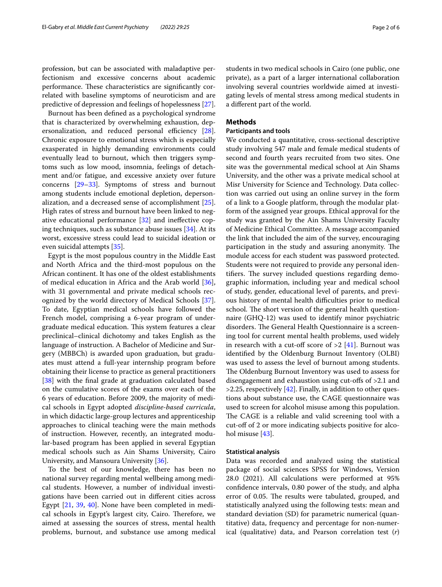Burnout has been defned as a psychological syndrome that is characterized by overwhelming exhaustion, depersonalization, and reduced personal efficiency  $[28]$  $[28]$ . Chronic exposure to emotional stress which is especially exasperated in highly demanding environments could eventually lead to burnout, which then triggers symptoms such as low mood, insomnia, feelings of detachment and/or fatigue, and excessive anxiety over future concerns [\[29](#page-5-5)[–33](#page-5-6)]. Symptoms of stress and burnout among students include emotional depletion, depersonalization, and a decreased sense of accomplishment [\[25](#page-5-1)]. High rates of stress and burnout have been linked to negative educational performance  $[32]$  $[32]$  $[32]$  and ineffective coping techniques, such as substance abuse issues [[34\]](#page-5-8). At its worst, excessive stress could lead to suicidal ideation or even suicidal attempts [[35\]](#page-5-9).

Egypt is the most populous country in the Middle East and North Africa and the third-most populous on the African continent. It has one of the oldest establishments of medical education in Africa and the Arab world [\[36](#page-5-10)], with 31 governmental and private medical schools recognized by the world directory of Medical Schools [\[37](#page-5-11)]. To date, Egyptian medical schools have followed the French model, comprising a 6-year program of undergraduate medical education. This system features a clear preclinical–clinical dichotomy and takes English as the language of instruction. A Bachelor of Medicine and Surgery (MBBCh) is awarded upon graduation, but graduates must attend a full-year internship program before obtaining their license to practice as general practitioners [[38\]](#page-5-12) with the final grade at graduation calculated based on the cumulative scores of the exams over each of the 6 years of education. Before 2009, the majority of medical schools in Egypt adopted *discipline-based curricula*, in which didactic large-group lectures and apprenticeship approaches to clinical teaching were the main methods of instruction. However, recently, an integrated modular-based program has been applied in several Egyptian medical schools such as Ain Shams University, Cairo University, and Mansoura University [[36\]](#page-5-10).

To the best of our knowledge, there has been no national survey regarding mental wellbeing among medical students. However, a number of individual investigations have been carried out in diferent cities across Egypt [[21,](#page-4-4) [39](#page-5-13), [40\]](#page-5-14). None have been completed in medical schools in Egypt's largest city, Cairo. Therefore, we aimed at assessing the sources of stress, mental health problems, burnout, and substance use among medical students in two medical schools in Cairo (one public, one private), as a part of a larger international collaboration involving several countries worldwide aimed at investigating levels of mental stress among medical students in a diferent part of the world.

# **Methods**

# **Participants and tools**

We conducted a quantitative, cross-sectional descriptive study involving 547 male and female medical students of second and fourth years recruited from two sites. One site was the governmental medical school at Ain Shams University, and the other was a private medical school at Misr University for Science and Technology. Data collection was carried out using an online survey in the form of a link to a Google platform, through the modular platform of the assigned year groups. Ethical approval for the study was granted by the Ain Shams University Faculty of Medicine Ethical Committee. A message accompanied the link that included the aim of the survey, encouraging participation in the study and assuring anonymity. The module access for each student was password protected. Students were not required to provide any personal identifiers. The survey included questions regarding demographic information, including year and medical school of study, gender, educational level of parents, and previous history of mental health difculties prior to medical school. The short version of the general health questionnaire (GHQ-12) was used to identify minor psychiatric disorders. The General Health Questionnaire is a screening tool for current mental health problems, used widely in research with a cut-off score of  $>2$  [\[41\]](#page-5-15). Burnout was identifed by the Oldenburg Burnout Inventory (OLBI) was used to assess the level of burnout among students. The Oldenburg Burnout Inventory was used to assess for disengagement and exhaustion using cut-ofs of >2.1 and  $>$ 2.25, respectively [\[42](#page-5-16)]. Finally, in addition to other questions about substance use, the CAGE questionnaire was used to screen for alcohol misuse among this population. The CAGE is a reliable and valid screening tool with a cut-off of 2 or more indicating subjects positive for alcohol misuse [\[43\]](#page-5-17).

## **Statistical analysis**

Data was recorded and analyzed using the statistical package of social sciences SPSS for Windows, Version 28.0 (2021). All calculations were performed at 95% confdence intervals, 0.80 power of the study, and alpha error of 0.05. The results were tabulated, grouped, and statistically analyzed using the following tests: mean and standard deviation (SD) for parametric numerical (quantitative) data, frequency and percentage for non-numerical (qualitative) data, and Pearson correlation test (*r*)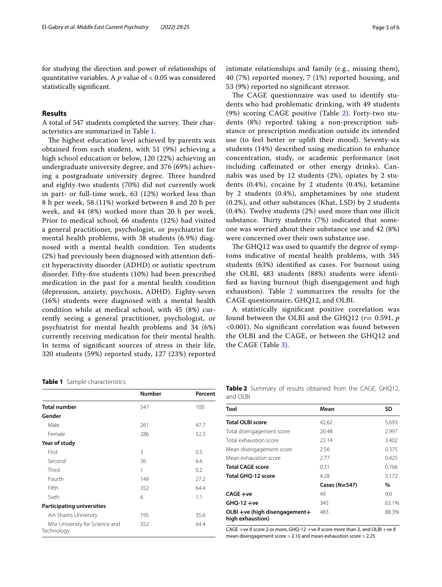# **Results**

A total of 547 students completed the survey. Their characteristics are summarized in Table [1.](#page-2-0)

The highest education level achieved by parents was obtained from each student, with 51 (9%) achieving a high school education or below, 120 (22%) achieving an undergraduate university degree, and 376 (69%) achieving a postgraduate university degree. Three hundred and eighty-two students (70%) did not currently work in part- or full-time work, 63 (12%) worked less than 8 h per week, 58 (11%) worked between 8 and 20 h per week, and 44 (8%) worked more than 20 h per week. Prior to medical school, 66 students (12%) had visited a general practitioner, psychologist, or psychiatrist for mental health problems, with 38 students (6.9%) diagnosed with a mental health condition. Ten students (2%) had previously been diagnosed with attention defcit hyperactivity disorder (ADHD) or autistic spectrum disorder. Fifty-fve students (10%) had been prescribed medication in the past for a mental health condition (depression, anxiety, psychosis, ADHD). Eighty-seven (16%) students were diagnosed with a mental health condition while at medical school, with 45 (8%) currently seeing a general practitioner, psychologist, or psychiatrist for mental health problems and 34 (6%) currently receiving medication for their mental health. In terms of signifcant sources of stress in their life, 320 students (59%) reported study, 127 (23%) reported

#### <span id="page-2-0"></span>**Table 1** Sample characteristics

|                                               | <b>Number</b> | Percent |
|-----------------------------------------------|---------------|---------|
| <b>Total number</b>                           | 547           | 100     |
| Gender                                        |               |         |
| Male                                          | 261           | 47.7    |
| Female                                        | 286           | 52.3    |
| Year of study                                 |               |         |
| First                                         | 3             | 0.5     |
| Second                                        | 36            | 6.6     |
| Third                                         | 1             | 0.2     |
| Fourth                                        | 149           | 27.2    |
| Fifth                                         | 352           | 64.4    |
| Sixth                                         | 6             | 1.1     |
| <b>Participating universities</b>             |               |         |
| Ain Shams University                          | 195           | 35.6    |
| Misr University for Science and<br>Technology | 352           | 64.4    |

intimate relationships and family (e.g., missing them), 40 (7%) reported money, 7 (1%) reported housing, and 53 (9%) reported no signifcant stressor.

The CAGE questionnaire was used to identify students who had problematic drinking, with 49 students (9%) scoring CAGE positive (Table [2](#page-2-1)). Forty-two students (8%) reported taking a non-prescription substance or prescription medication outside its intended use (to feel better or uplift their mood). Seventy-six students (14%) described using medication to enhance concentration, study, or academic performance (not including cafeinated or other energy drinks). Cannabis was used by 12 students (2%), opiates by 2 students (0.4%), cocaine by 2 students (0.4%), ketamine by 2 students (0.4%), amphetamines by one student (0.2%), and other substances (Khat, LSD) by 2 students (0.4%). Twelve students (2%) used more than one illicit substance. Thirty students (7%) indicated that someone was worried about their substance use and 42 (8%) were concerned over their own substance use.

The GHQ12 was used to quantify the degree of symptoms indicative of mental health problems, with 345 students (63%) identifed as cases. For burnout using the OLBI, 483 students (88%) students were identifed as having burnout (high disengagement and high exhaustion). Table [2](#page-2-1) summarizes the results for the CAGE questionnaire, GHQ12, and OLBI.

A statistically signifcant positive correlation was found between the OLBI and the GHQ12 (*r*= 0.591, *p* <0.001). No signifcant correlation was found between the OLBI and the CAGE, or between the GHQ12 and the CAGE (Table [3](#page-3-0)).

<span id="page-2-1"></span>

|            | Table 2 Summary of results obtained from the CAGE, GHQ12, |  |  |  |  |
|------------|-----------------------------------------------------------|--|--|--|--|
| and OLBI . |                                                           |  |  |  |  |

| Tool                                              | Mean            | SD    |
|---------------------------------------------------|-----------------|-------|
| <b>Total OLBI score</b>                           | 42.62           | 5.693 |
| Total disengagement score                         | 20.48           | 2.997 |
| Total exhaustion score                            | 22.14           | 3.402 |
| Mean disengagement score                          | 2.56            | 0.375 |
| Mean exhaustion score                             | 2.77            | 0.425 |
| <b>Total CAGE score</b>                           | 0.31            | 0.766 |
| <b>Total GHO-12 score</b>                         | 4.28            | 3.172 |
|                                                   | Cases $(N=547)$ | %     |
| CAGE +ve                                          | 49              | 9.0   |
| $GHQ-12 +ve$                                      | 345             | 63.1% |
| OLBI +ve (high disengagement+<br>high exhaustion) | 483             | 88.3% |

 $CAGE +ve$  if score 2 or more, GHQ-12 +ve if score more than 2, and OLBI +ve if mean disengagement score > 2.10 and mean exhaustion score > 2.25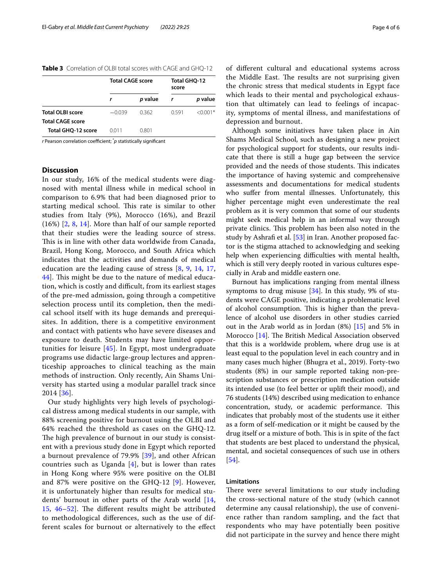<span id="page-3-0"></span>**Table 3** Correlation of OLBI total scores with CAGE and GHQ-12

|                           | <b>Total CAGE score</b> |         | Total GHQ-12<br>score |            |
|---------------------------|-------------------------|---------|-----------------------|------------|
|                           | r                       | p value | r                     | p value    |
| <b>Total OLBI score</b>   | $-0.039$                | 0362    | 0591                  | $< 0.001*$ |
| <b>Total CAGE score</b>   |                         |         |                       |            |
| <b>Total GHO-12 score</b> | 0011                    | 0.801   |                       |            |

*r* Pearson correlation coefficient; <sup>\*</sup>p statistically significant

# **Discussion**

In our study, 16% of the medical students were diagnosed with mental illness while in medical school in comparison to 6.9% that had been diagnosed prior to starting medical school. This rate is similar to other studies from Italy (9%), Morocco (16%), and Brazil (16%) [[2,](#page-4-1) [8](#page-4-3), [14](#page-4-5)]. More than half of our sample reported that their studies were the leading source of stress. This is in line with other data worldwide from Canada, Brazil, Hong Kong, Morocco, and South Africa which indicates that the activities and demands of medical education are the leading cause of stress [[8,](#page-4-3) [9](#page-4-6), [14](#page-4-5), [17](#page-4-7), 44. This might be due to the nature of medical education, which is costly and difficult, from its earliest stages of the pre-med admission, going through a competitive selection process until its completion, then the medical school itself with its huge demands and prerequisites. In addition, there is a competitive environment and contact with patients who have severe diseases and exposure to death. Students may have limited opportunities for leisure [\[45\]](#page-5-19). In Egypt, most undergraduate programs use didactic large-group lectures and apprenticeship approaches to clinical teaching as the main methods of instruction. Only recently, Ain Shams University has started using a modular parallel track since 2014 [[36\]](#page-5-10).

Our study highlights very high levels of psychological distress among medical students in our sample, with 88% screening positive for burnout using the OLBI and 64% reached the threshold as cases on the GHQ-12. The high prevalence of burnout in our study is consistent with a previous study done in Egypt which reported a burnout prevalence of 79.9% [\[39\]](#page-5-13), and other African countries such as Uganda  $[4]$  $[4]$  $[4]$ , but is lower than rates in Hong Kong where 95% were positive on the OLBI and 87% were positive on the GHQ-12 [\[9](#page-4-6)]. However, it is unfortunately higher than results for medical students' burnout in other parts of the Arab world [\[14](#page-4-5), [15,](#page-4-9) 46-[52](#page-5-21)]. The different results might be attributed to methodological diferences, such as the use of different scales for burnout or alternatively to the efect of diferent cultural and educational systems across the Middle East. The results are not surprising given the chronic stress that medical students in Egypt face which leads to their mental and psychological exhaustion that ultimately can lead to feelings of incapacity, symptoms of mental illness, and manifestations of depression and burnout.

Although some initiatives have taken place in Ain Shams Medical School, such as designing a new project for psychological support for students, our results indicate that there is still a huge gap between the service provided and the needs of those students. This indicates the importance of having systemic and comprehensive assessments and documentations for medical students who sufer from mental illnesses. Unfortunately, this higher percentage might even underestimate the real problem as it is very common that some of our students might seek medical help in an informal way through private clinics. This problem has been also noted in the study by Ashrafi et al. [\[53](#page-5-22)] in Iran. Another proposed factor is the stigma attached to acknowledging and seeking help when experiencing difficulties with mental health, which is still very deeply rooted in various cultures especially in Arab and middle eastern one.

Burnout has implications ranging from mental illness symptoms to drug misuse  $[34]$  $[34]$  $[34]$ . In this study, 9% of students were CAGE positive, indicating a problematic level of alcohol consumption. This is higher than the prevalence of alcohol use disorders in other studies carried out in the Arab world as in Jordan (8%) [[15\]](#page-4-9) and 5% in Morocco [[14\]](#page-4-5). The British Medical Association observed that this is a worldwide problem, where drug use is at least equal to the population level in each country and in many cases much higher (Bhugra et al., 2019). Forty-two students (8%) in our sample reported taking non-prescription substances or prescription medication outside its intended use (to feel better or uplift their mood), and 76 students (14%) described using medication to enhance concentration, study, or academic performance. This indicates that probably most of the students use it either as a form of self-medication or it might be caused by the drug itself or a mixture of both. This is in spite of the fact that students are best placed to understand the physical, mental, and societal consequences of such use in others [[54\]](#page-5-23).

# **Limitations**

There were several limitations to our study including the cross-sectional nature of the study (which cannot determine any causal relationship), the use of convenience rather than random sampling, and the fact that respondents who may have potentially been positive did not participate in the survey and hence there might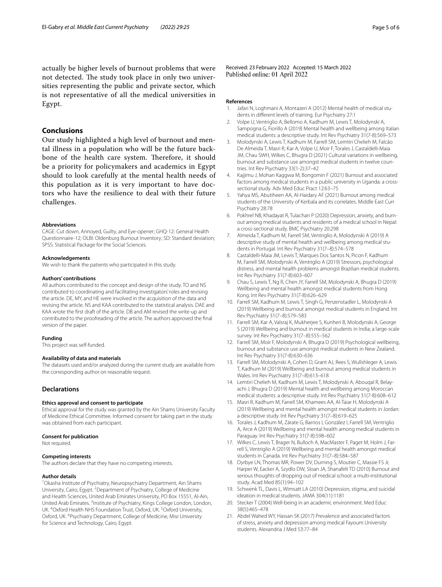actually be higher levels of burnout problems that were not detected. The study took place in only two universities representing the public and private sector, which is not representative of all the medical universities in Egypt.

# **Conclusions**

Our study highlighted a high level of burnout and mental illness in a population who will be the future backbone of the health care system. Therefore, it should be a priority for policymakers and academics in Egypt should to look carefully at the mental health needs of this population as it is very important to have doctors who have the resilience to deal with their future challenges.

#### **Abbreviations**

CAGE: Cut down, Annoyed, Guilty, and Eye-opener; GHQ-12: General Health Questionnaire-12; OLBI: Oldenburg Burnout Inventory; SD: Standard deviation; SPSS: Statistical Package for the Social Sciences.

#### **Acknowledgements**

We wish to thank the patients who participated in this study.

#### **Authors' contributions**

All authors contributed to the concept and design of the study. TO and NS contributed to coordinating and facilitating investigators' roles and revising the article. DE, MY, and HE were involved in the acquisition of the data and revising the article. NS and KAA contributed to the statistical analysis. DAE and KAA wrote the frst draft of the article. DB and AM revised the write-up and contributed to the proofreading of the article. The authors approved the fnal version of the paper.

# **Funding**

This project was self-funded.

#### **Availability of data and materials**

The datasets used and/or analyzed during the current study are available from the corresponding author on reasonable request.

## **Declarations**

#### **Ethics approval and consent to participate**

Ethical approval for the study was granted by the Ain Shams University Faculty of Medicine Ethical Committee. Informed consent for taking part in the study was obtained from each participant.

### **Consent for publication**

Not required.

### **Competing interests**

The authors declare that they have no competing interests.

#### **Author details**

<sup>1</sup> Okasha Institute of Psychiatry, Neuropsychiatry Department, Ain Shams University, Cairo, Egypt.<sup>2</sup> Department of Psychiatry, College of Medicine and Health Sciences, United Arab Emirates University, PO Box 15551, Al-Ain, United Arab Emirates. <sup>3</sup>Institute of Psychiatry, Kings College London, London, UK. <sup>4</sup>Oxford Health NHS Foundation Trust, Oxford, UK. <sup>5</sup>Oxford University, Oxford, UK. <sup>6</sup>Psychiatry Department, College of Medicine, Misr University for Science and Technology, Cairo, Egypt.

Received: 23 February 2022 Accepted: 15 March 2022 Published online: 01 April 2022

#### **References**

- <span id="page-4-0"></span>Jafari N, Loghmani A, Montazeri A (2012) Mental health of medical students in diferent levels of training. Eur Psychiatry 27:1
- <span id="page-4-1"></span>2. Volpe U, Ventriglio A, Bellomo A, Kadhum M, Lewis T, Molodynski A, Sampogna G, Fiorillo A (2019) Mental health and wellbeing among Italian medical students: a descriptive study. Int Rev Psychiatry 31(7-8):569–573
- 3. Molodynski A, Lewis T, Kadhum M, Farrell SM, Lemtiri Chelieh M, Falcão De Almeida T, Masri R, Kar A, Volpe U, Moir F, Torales J, Castaldelli-Maia JM, Chau SWH, Wilkes C, Bhugra D (2021) Cultural variations in wellbeing, burnout and substance use amongst medical students in twelve countries. Int Rev Psychiatry 33(1-2):37–42
- <span id="page-4-8"></span>4. Kajjimu J, Mohan Kaggwa M, Bongomin F (2021) Burnout and associated factors among medical students in a public university in Uganda: a crosssectional study. Adv Med Educ Pract 12:63–75
- 5. Yahya MS, Abutiheen AA, Al-Haidary AF (2021) Burnout among medical students of the University of Kerbala and its correlates. Middle East Curr Psychiatry 28:78
- 6. Pokhrel NB, Khadayat R, Tulachan P (2020) Depression, anxiety, and burnout among medical students and residents of a medical school in Nepal: a cross-sectional study. BMC Psychiatry 20:298
- 7. Almeida T, Kadhum M, Farrell SM, Ventriglio A, Molodynski A (2019) A descriptive study of mental health and wellbeing among medical students in Portugal. Int Rev Psychiatry 31(7–8):574–578
- <span id="page-4-3"></span>8. Castaldelli-Maia JM, Lewis T, Marques Dos Santos N, Picon F, Kadhum M, Farrell SM, Molodynski A, Ventriglio A (2019) Stressors, psychological distress, and mental health problems amongst Brazilian medical students. Int Rev Psychiatry 31(7-8):603–607
- <span id="page-4-6"></span>9. Chau S, Lewis T, Ng R, Chen JY, Farrell SM, Molodynski A, Bhugra D (2019) Wellbeing and mental health amongst medical students from Hong Kong. Int Rev Psychiatry 31(7-8):626–629
- 10. Farrell SM, Kadhum M, Lewis T, Singh G, Penzenstadler L, Molodynski A (2019) Wellbeing and burnout amongst medical students in England. Int Rev Psychiatry 31(7–8):579–583
- 11. Farrell SM, Kar A, Valsraj K, Mukherjee S, Kunheri B, Molodynski A, George S (2019) Wellbeing and burnout in medical students in India; a large-scale survey. Int Rev Psychiatry 31(7–8):555–562
- 12. Farrell SM, Moir F, Molodynski A, Bhugra D (2019) Psychological wellbeing, burnout and substance use amongst medical students in New Zealand. Int Rev Psychiatry 31(7-8):630–636
- 13. Farrell SM, Molodynski A, Cohen D, Grant AJ, Rees S, Wullshleger A, Lewis T, Kadhum M (2019) Wellbeing and burnout among medical students in Wales. Int Rev Psychiatry 31(7–8):613–618
- <span id="page-4-5"></span>14. Lemtiri Chelieh M, Kadhum M, Lewis T, Molodynski A, Abouqal R, Belayachi J, Bhugra D (2019) Mental health and wellbeing among Moroccan medical students: a descriptive study. Int Rev Psychiatry 31(7-8):608–612
- <span id="page-4-9"></span>15. Masri R, Kadhum M, Farrell SM, Khamees AA, Al-Taiar H, Molodynski A (2019) Wellbeing and mental health amongst medical students in Jordan: a descriptive study. Int Rev Psychiatry 31(7–8):619–625
- 16. Torales J, Kadhum M, Zárate G, Barrios I, González I, Farrell SM, Ventriglio A, Arce A (2019) Wellbeing and mental health among medical students in Paraguay. Int Rev Psychiatry 31(7-8):598–602
- <span id="page-4-7"></span>17. Wilkes C, Lewis T, Brager N, Bulloch A, MacMaster F, Paget M, Holm J, Farrell S, Ventriglio A (2019) Wellbeing and mental health amongst medical students in Canada. Int Rev Psychiatry 31(7–8):584–587
- 18. Dyrbye LN, Thomas MR, Power DV, Durning S, Moutier C, Massie FS Jr, Harper W, Eacker A, Szydlo DW, Sloan JA, Shanafelt TD (2010) Burnout and serious thoughts of dropping out of medical school: a multi-institutional study. Acad Med 85(1):94–102
- 19. Schwenk TL, Davis L, Wimsatt LA (2010) Depression, stigma, and suicidal ideation in medical students. JAMA 304(11):1181
- <span id="page-4-2"></span>20. Stecker T (2004) Well-being in an academic environment. Med Educ 38(5):465–478
- <span id="page-4-4"></span>21. Abdel Wahed WY, Hassan SK (2017) Prevalence and associated factors of stress, anxiety and depression among medical Fayoum University students. Alexandria J Med 53:77–84